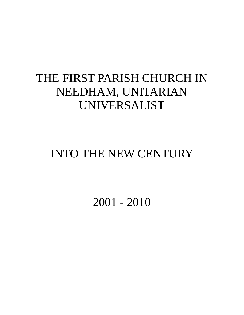## THE FIRST PARISH CHURCH IN NEEDHAM, UNITARIAN UNIVERSALIST

## INTO THE NEW CENTURY

2001 - 2010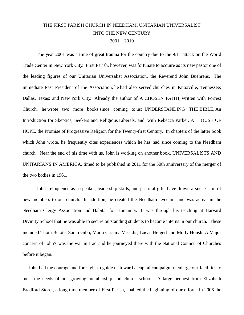## THE FIRST PARISH CHURCH IN NEEDHAM, UNITARIAN UNIVERSALIST INTO THE NEW CENTURY

## $2001 - 2010$

The year 2001 was a time of great trauma for the country due to the 9/11 attack on the World Trade Center in New York City. First Parish, however, was fortunate to acquire as its new pastor one of the leading figures of our Unitarian Universalist Association, the Reverend John Buehrens. The immediate Past President of the Association, he had also served churches in Knoxville, Tennessee; Dallas, Texas; and New York City. Already the author of A CHOSEN FAITH, written with Forrest Church. he wrote two more books since coming to us: UNDERSTANDING THE BIBLE, An Introduction for Skeptics, Seekers and Religious Liberals, and, with Rebecca Parker, A HOUSE OF HOPE, the Promise of Progressive Religion for the Twenty-first Century. In chapters of the latter book which John wrote, he frequently cites experiences which he has had since coming to the Needham church. Near the end of his time with us, John is working on another book, UNIVERSALISTS AND UNITARIANS IN AMERICA, timed to be published in 2011 for the 50th anniversary of the merger of the two bodies in 1961.

John's eloquence as a speaker, leadership skills, and pastoral gifts have drawn a succession of new members to our church. In addition, he created the Needham Lyceum, and was active in the Needham Clergy Association and Habitat for Humanity. It was through his teaching at Harvard Divinity School that he was able to secure outstanding students to become interns in our church. These included Thom Belote, Sarah Gibb, Maria Cristina Vassidis, Lucas Hergert and Molly Housh. A Major concern of John's was the war in Iraq and he journeyed there with the National Council of Churches before it began.

John had the courage and foresight to guide us toward a capital campaign to enlarge our facilities to meet the needs of our growing membership and church school. A large bequest from Elizabeth Bradford Storer, a long time member of First Parish, enabled the beginning of our effort. In 2006 the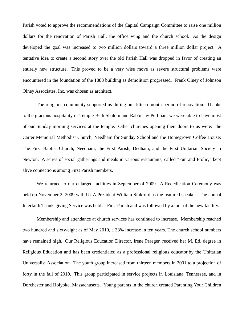Parish voted to approve the recommendations of the Capital Campaign Committee to raise one million dollars for the renovation of Parish Hall, the office wing and the church school. As the design developed the goal was increased to two million dollars toward a three million dollar project. A tentative idea to create a second story over the old Parish Hall was dropped in favor of creating an entirely new structure. This proved to be a very wise move as severe structural problems were encountered in the foundation of the 1888 building as demolition progressed. Frank Olney of Johnson Olney Associates, Inc. was chosen as architect.

The religious community supported us during our fifteen month period of renovation. Thanks to the gracious hospitality of Temple Beth Shalom and Rabbi Jay Perlman, we were able to have most of our Sunday morning services at the temple. Other churches opening their doors to us were: the Carter Memorial Methodist Church, Needham for Sunday School and the Homegrown Coffee House; The First Baptist Church, Needham; the First Parish, Dedham, and the First Unitarian Society in Newton. A series of social gatherings and meals in various restaurants, called "Fun and Frolic," kept alive connections among First Parish members.

We returned to our enlarged facilities in September of 2009. A Rededication Ceremony was held on November 2, 2009 with UUA President William Sinkford as the featured speaker. The annual Interfaith Thanksgiving Service was held at First Parish and was followed by a tour of the new facility.

Membership and attendance at church services has continued to increase. Membership reached two hundred and sixty-eight as of May 2010, a 33% increase in ten years. The church school numbers have remained high. Our Religious Education Director, Irene Praeger, received her M. Ed. degree in Religious Education and has been credentialed as a professional religious educator by the Unitarian Universalist Association. The youth group increased from thirteen members in 2001 to a projection of forty in the fall of 2010. This group participated in service projects in Louisiana, Tennessee, and in Dorchester and Holyoke, Massachusetts. Young parents in the church created Parenting Your Children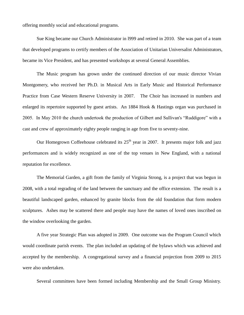offering monthly social and educational programs.

Sue King became our Church Administrator in l999 and retired in 2010. She was part of a team that developed programs to certify members of the Association of Unitarian Universalist Administrators, became its Vice President, and has presented workshops at several General Assemblies.

The Music program has grown under the continued direction of our music director Vivian Montgomery, who received her Ph.D. in Musical Arts in Early Music and Historical Performance Practice from Case Western Reserve University in 2007. The Choir has increased in numbers and enlarged its repertoire supported by guest artists. An 1884 Hook & Hastings organ was purchased in 2005. In May 2010 the church undertook the production of Gilbert and Sullivan's "Ruddigore" with a cast and crew of approximately eighty people ranging in age from five to seventy-nine.

Our Homegrown Coffeehouse celebrated its  $25<sup>th</sup>$  year in 2007. It presents major folk and jazz performances and is widely recognized as one of the top venues in New England, with a national reputation for excellence.

The Memorial Garden, a gift from the family of Virginia Strong, is a project that was begun in 2008, with a total regrading of the land between the sanctuary and the office extension. The result is a beautiful landscaped garden, enhanced by granite blocks from the old foundation that form modern sculptures. Ashes may be scattered there and people may have the names of loved ones inscribed on the window overlooking the garden.

A five year Strategic Plan was adopted in 2009. One outcome was the Program Council which would coordinate parish events. The plan included an updating of the bylaws which was achieved and accepted by the membership. A congregational survey and a financial projection from 2009 to 2015 were also undertaken.

Several committees have been formed including Membership and the Small Group Ministry.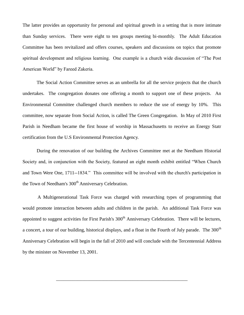The latter provides an opportunity for personal and spiritual growth in a setting that is more intimate than Sunday services. There were eight to ten groups meeting bi-monthly. The Adult Education Committee has been revitalized and offers courses, speakers and discussions on topics that promote spiritual development and religious learning. One example is a church wide discussion of "The Post American World" by Fareed Zakeria.

The Social Action Committee serves as an umbrella for all the service projects that the church undertakes. The congregation donates one offering a month to support one of these projects. An Environmental Committee challenged church members to reduce the use of energy by 10%. This committee, now separate from Social Action, is called The Green Congregation. In May of 2010 First Parish in Needham became the first house of worship in Massachusetts to receive an Energy Statr certification from the U.S Environmental Protection Agency.

During the renovation of our building the Archives Committee met at the Needham Historial Society and, in conjunction with the Society, featured an eight month exhibit entitled "When Church and Town Were One, 1711--1834." This committee will be involved with the church's participation in the Town of Needham's 300<sup>th</sup> Anniversary Celebration.

A Multigenerational Task Force was charged with researching types of programming that would promote interaction between adults and children in the parish. An additional Task Force was appointed to suggest activities for First Parish's 300<sup>th</sup> Anniversary Celebration. There will be lectures, a concert, a tour of our building, historical displays, and a float in the Fourth of July parade. The  $300<sup>th</sup>$ Anniversary Celebration will begin in the fall of 2010 and will conclude with the Tercentennial Address by the minister on November 13, 2001.

\_\_\_\_\_\_\_\_\_\_\_\_\_\_\_\_\_\_\_\_\_\_\_\_\_\_\_\_\_\_\_\_\_\_\_\_\_\_\_\_\_\_\_\_\_\_\_\_\_\_\_\_\_\_\_